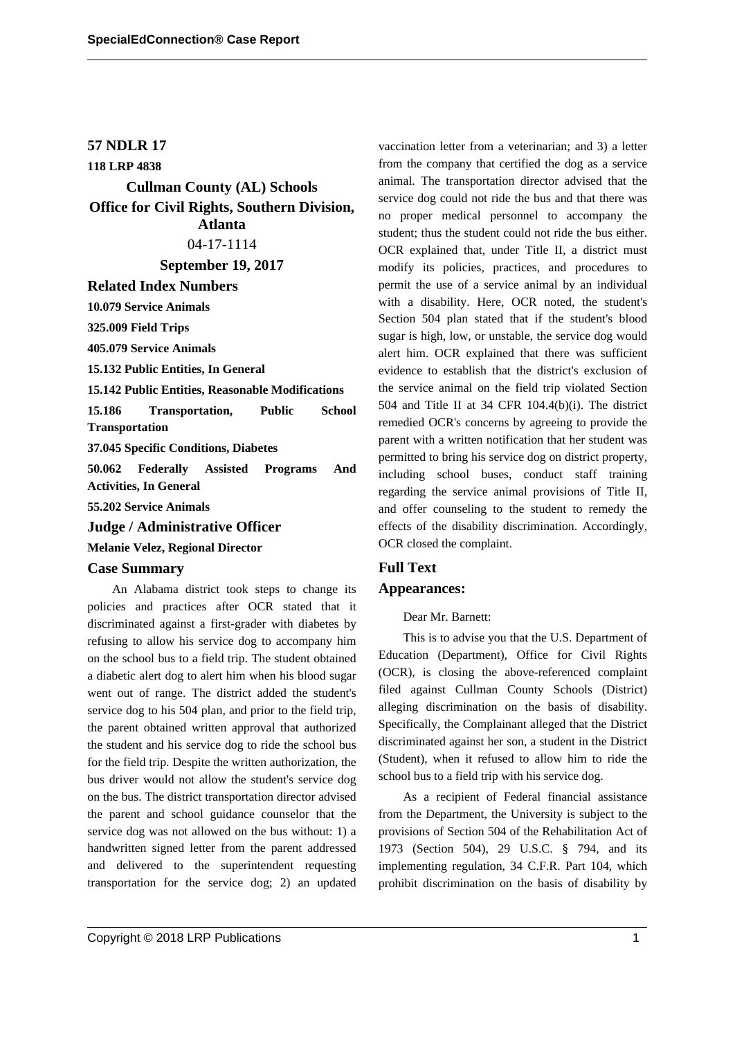## **57 NDLR 17**

**118 LRP 4838 Cullman County (AL) Schools**

**Office for Civil Rights, Southern Division, Atlanta** 04-17-1114

**September 19, 2017**

**Related Index Numbers**

**10.079 Service Animals**

**325.009 Field Trips**

**405.079 Service Animals**

**15.132 Public Entities, In General**

**15.142 Public Entities, Reasonable Modifications**

**15.186 Transportation, Public School Transportation**

**37.045 Specific Conditions, Diabetes**

**50.062 Federally Assisted Programs And Activities, In General**

**55.202 Service Animals**

**Judge / Administrative Officer**

**Melanie Velez, Regional Director**

### **Case Summary**

An Alabama district took steps to change its policies and practices after OCR stated that it discriminated against a first-grader with diabetes by refusing to allow his service dog to accompany him on the school bus to a field trip. The student obtained a diabetic alert dog to alert him when his blood sugar went out of range. The district added the student's service dog to his 504 plan, and prior to the field trip, the parent obtained written approval that authorized the student and his service dog to ride the school bus for the field trip. Despite the written authorization, the bus driver would not allow the student's service dog on the bus. The district transportation director advised the parent and school guidance counselor that the service dog was not allowed on the bus without: 1) a handwritten signed letter from the parent addressed and delivered to the superintendent requesting transportation for the service dog; 2) an updated vaccination letter from a veterinarian; and 3) a letter from the company that certified the dog as a service animal. The transportation director advised that the service dog could not ride the bus and that there was no proper medical personnel to accompany the student; thus the student could not ride the bus either. OCR explained that, under Title II, a district must modify its policies, practices, and procedures to permit the use of a service animal by an individual with a disability. Here, OCR noted, the student's Section 504 plan stated that if the student's blood sugar is high, low, or unstable, the service dog would alert him. OCR explained that there was sufficient evidence to establish that the district's exclusion of the service animal on the field trip violated Section 504 and Title II at 34 CFR 104.4(b)(i). The district remedied OCR's concerns by agreeing to provide the parent with a written notification that her student was permitted to bring his service dog on district property, including school buses, conduct staff training regarding the service animal provisions of Title II, and offer counseling to the student to remedy the effects of the disability discrimination. Accordingly, OCR closed the complaint.

# **Full Text Appearances:**

#### Dear Mr. Barnett:

This is to advise you that the U.S. Department of Education (Department), Office for Civil Rights (OCR), is closing the above-referenced complaint filed against Cullman County Schools (District) alleging discrimination on the basis of disability. Specifically, the Complainant alleged that the District discriminated against her son, a student in the District (Student), when it refused to allow him to ride the school bus to a field trip with his service dog.

As a recipient of Federal financial assistance from the Department, the University is subject to the provisions of Section 504 of the Rehabilitation Act of 1973 (Section 504), 29 U.S.C. § 794, and its implementing regulation, 34 C.F.R. Part 104, which prohibit discrimination on the basis of disability by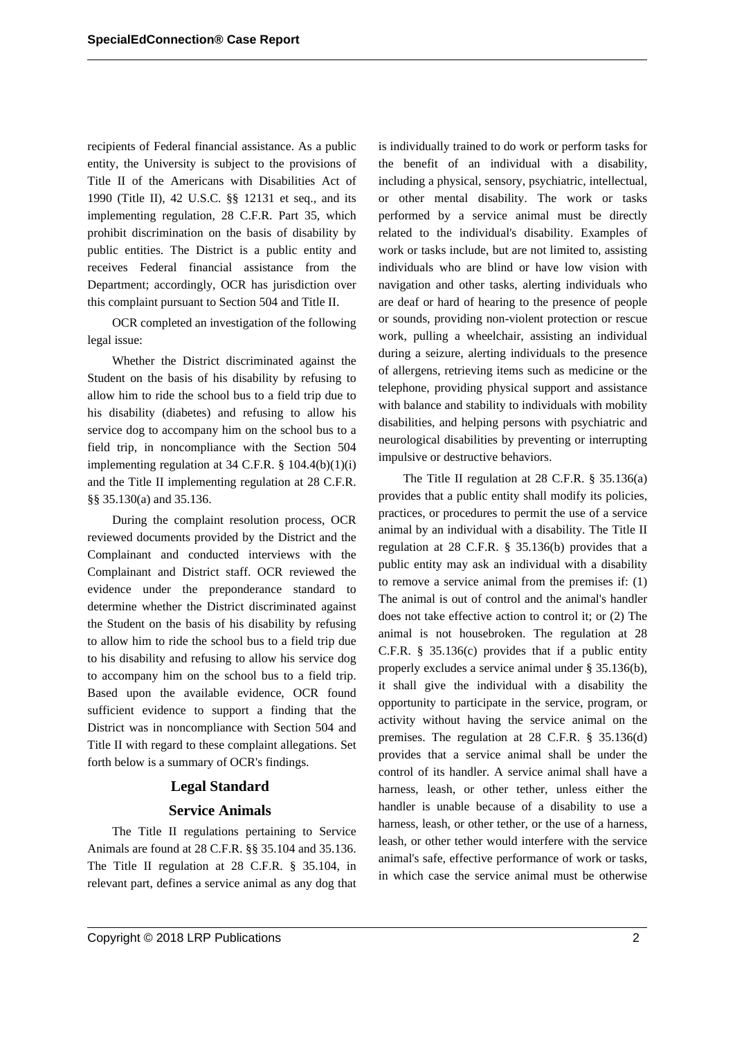recipients of Federal financial assistance. As a public entity, the University is subject to the provisions of Title II of the Americans with Disabilities Act of 1990 (Title II), 42 U.S.C. §§ 12131 et seq., and its implementing regulation, 28 C.F.R. Part 35, which prohibit discrimination on the basis of disability by public entities. The District is a public entity and receives Federal financial assistance from the Department; accordingly, OCR has jurisdiction over this complaint pursuant to Section 504 and Title II.

OCR completed an investigation of the following legal issue:

Whether the District discriminated against the Student on the basis of his disability by refusing to allow him to ride the school bus to a field trip due to his disability (diabetes) and refusing to allow his service dog to accompany him on the school bus to a field trip, in noncompliance with the Section 504 implementing regulation at 34 C.F.R.  $\S$  104.4(b)(1)(i) and the Title II implementing regulation at 28 C.F.R. §§ 35.130(a) and 35.136.

During the complaint resolution process, OCR reviewed documents provided by the District and the Complainant and conducted interviews with the Complainant and District staff. OCR reviewed the evidence under the preponderance standard to determine whether the District discriminated against the Student on the basis of his disability by refusing to allow him to ride the school bus to a field trip due to his disability and refusing to allow his service dog to accompany him on the school bus to a field trip. Based upon the available evidence, OCR found sufficient evidence to support a finding that the District was in noncompliance with Section 504 and Title II with regard to these complaint allegations. Set forth below is a summary of OCR's findings.

## **Legal Standard**

## **Service Animals**

The Title II regulations pertaining to Service Animals are found at 28 C.F.R. §§ 35.104 and 35.136. The Title II regulation at 28 C.F.R. § 35.104, in relevant part, defines a service animal as any dog that is individually trained to do work or perform tasks for the benefit of an individual with a disability, including a physical, sensory, psychiatric, intellectual, or other mental disability. The work or tasks performed by a service animal must be directly related to the individual's disability. Examples of work or tasks include, but are not limited to, assisting individuals who are blind or have low vision with navigation and other tasks, alerting individuals who are deaf or hard of hearing to the presence of people or sounds, providing non-violent protection or rescue work, pulling a wheelchair, assisting an individual during a seizure, alerting individuals to the presence of allergens, retrieving items such as medicine or the telephone, providing physical support and assistance with balance and stability to individuals with mobility disabilities, and helping persons with psychiatric and neurological disabilities by preventing or interrupting impulsive or destructive behaviors.

The Title II regulation at 28 C.F.R. § 35.136(a) provides that a public entity shall modify its policies, practices, or procedures to permit the use of a service animal by an individual with a disability. The Title II regulation at 28 C.F.R. § 35.136(b) provides that a public entity may ask an individual with a disability to remove a service animal from the premises if: (1) The animal is out of control and the animal's handler does not take effective action to control it; or (2) The animal is not housebroken. The regulation at 28 C.F.R. § 35.136(c) provides that if a public entity properly excludes a service animal under § 35.136(b), it shall give the individual with a disability the opportunity to participate in the service, program, or activity without having the service animal on the premises. The regulation at 28 C.F.R. § 35.136(d) provides that a service animal shall be under the control of its handler. A service animal shall have a harness, leash, or other tether, unless either the handler is unable because of a disability to use a harness, leash, or other tether, or the use of a harness, leash, or other tether would interfere with the service animal's safe, effective performance of work or tasks, in which case the service animal must be otherwise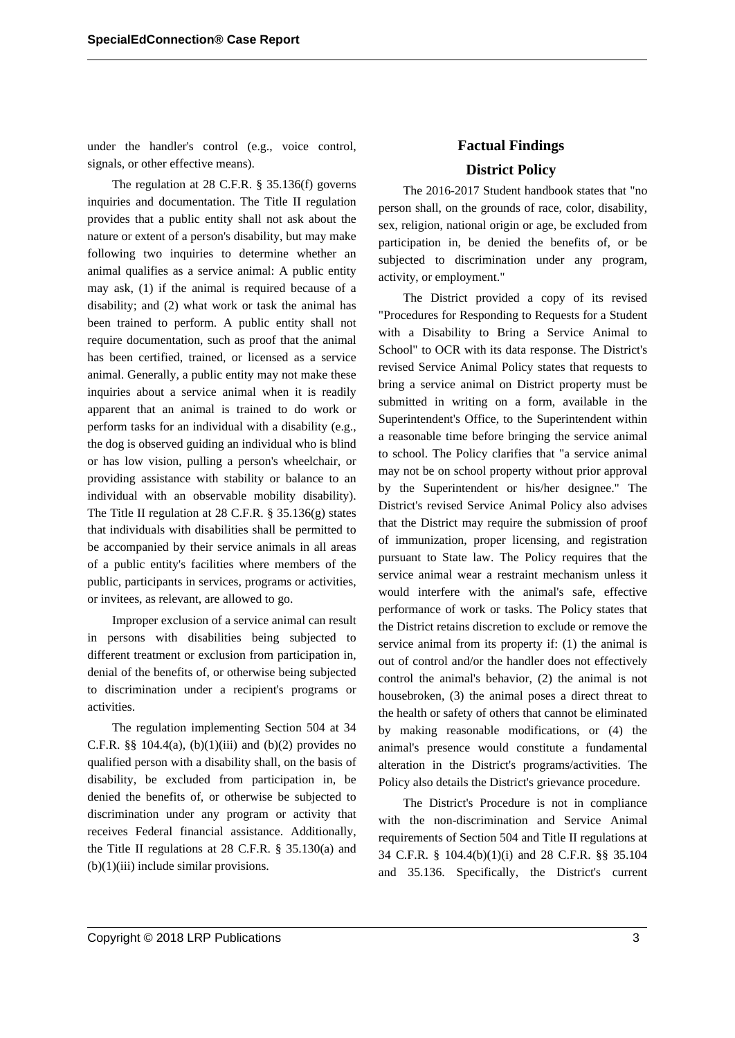under the handler's control (e.g., voice control, signals, or other effective means).

The regulation at 28 C.F.R. § 35.136(f) governs inquiries and documentation. The Title II regulation provides that a public entity shall not ask about the nature or extent of a person's disability, but may make following two inquiries to determine whether an animal qualifies as a service animal: A public entity may ask, (1) if the animal is required because of a disability; and (2) what work or task the animal has been trained to perform. A public entity shall not require documentation, such as proof that the animal has been certified, trained, or licensed as a service animal. Generally, a public entity may not make these inquiries about a service animal when it is readily apparent that an animal is trained to do work or perform tasks for an individual with a disability (e.g., the dog is observed guiding an individual who is blind or has low vision, pulling a person's wheelchair, or providing assistance with stability or balance to an individual with an observable mobility disability). The Title II regulation at 28 C.F.R. § 35.136(g) states that individuals with disabilities shall be permitted to be accompanied by their service animals in all areas of a public entity's facilities where members of the public, participants in services, programs or activities, or invitees, as relevant, are allowed to go.

Improper exclusion of a service animal can result in persons with disabilities being subjected to different treatment or exclusion from participation in, denial of the benefits of, or otherwise being subjected to discrimination under a recipient's programs or activities.

The regulation implementing Section 504 at 34 C.F.R.  $\S\S 104.4(a)$ , (b)(1)(iii) and (b)(2) provides no qualified person with a disability shall, on the basis of disability, be excluded from participation in, be denied the benefits of, or otherwise be subjected to discrimination under any program or activity that receives Federal financial assistance. Additionally, the Title II regulations at 28 C.F.R. § 35.130(a) and  $(b)(1)(iii)$  include similar provisions.

# **Factual Findings District Policy**

The 2016-2017 Student handbook states that "no person shall, on the grounds of race, color, disability, sex, religion, national origin or age, be excluded from participation in, be denied the benefits of, or be subjected to discrimination under any program, activity, or employment."

The District provided a copy of its revised "Procedures for Responding to Requests for a Student with a Disability to Bring a Service Animal to School" to OCR with its data response. The District's revised Service Animal Policy states that requests to bring a service animal on District property must be submitted in writing on a form, available in the Superintendent's Office, to the Superintendent within a reasonable time before bringing the service animal to school. The Policy clarifies that "a service animal may not be on school property without prior approval by the Superintendent or his/her designee." The District's revised Service Animal Policy also advises that the District may require the submission of proof of immunization, proper licensing, and registration pursuant to State law. The Policy requires that the service animal wear a restraint mechanism unless it would interfere with the animal's safe, effective performance of work or tasks. The Policy states that the District retains discretion to exclude or remove the service animal from its property if: (1) the animal is out of control and/or the handler does not effectively control the animal's behavior, (2) the animal is not housebroken, (3) the animal poses a direct threat to the health or safety of others that cannot be eliminated by making reasonable modifications, or (4) the animal's presence would constitute a fundamental alteration in the District's programs/activities. The Policy also details the District's grievance procedure.

The District's Procedure is not in compliance with the non-discrimination and Service Animal requirements of Section 504 and Title II regulations at 34 C.F.R. § 104.4(b)(1)(i) and 28 C.F.R. §§ 35.104 and 35.136. Specifically, the District's current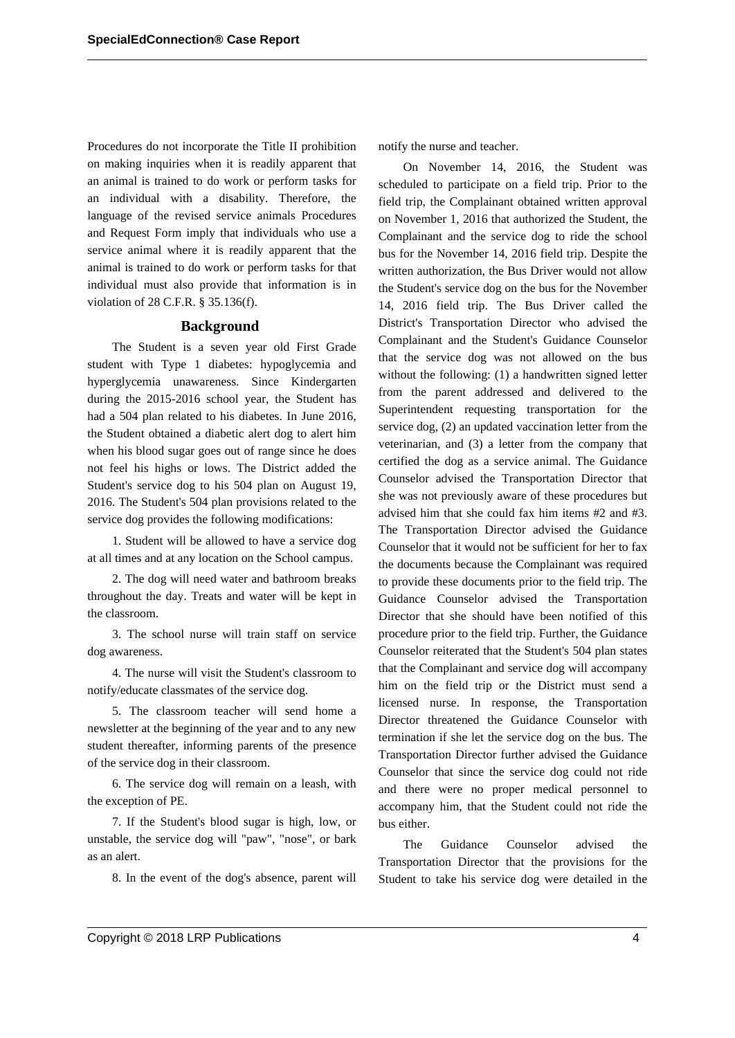Procedures do not incorporate the Title II prohibition on making inquiries when it is readily apparent that an animal is trained to do work or perform tasks for an individual with a disability. Therefore, the language of the revised service animals Procedures and Request Form imply that individuals who use a service animal where it is readily apparent that the animal is trained to do work or perform tasks for that individual must also provide that information is in violation of 28 C.F.R. § 35.136(f).

### **Background**

The Student is a seven year old First Grade student with Type 1 diabetes: hypoglycemia and hyperglycemia unawareness. Since Kindergarten during the 2015-2016 school year, the Student has had a 504 plan related to his diabetes. In June 2016, the Student obtained a diabetic alert dog to alert him when his blood sugar goes out of range since he does not feel his highs or lows. The District added the Student's service dog to his 504 plan on August 19, 2016. The Student's 504 plan provisions related to the service dog provides the following modifications:

1. Student will be allowed to have a service dog at all times and at any location on the School campus.

2. The dog will need water and bathroom breaks throughout the day. Treats and water will be kept in the classroom.

3. The school nurse will train staff on service dog awareness.

4. The nurse will visit the Student's classroom to notify/educate classmates of the service dog.

5. The classroom teacher will send home a newsletter at the beginning of the year and to any new student thereafter, informing parents of the presence of the service dog in their classroom.

6. The service dog will remain on a leash, with the exception of PE.

7. If the Student's blood sugar is high, low, or unstable, the service dog will "paw", "nose", or bark as an alert.

8. In the event of the dog's absence, parent will

notify the nurse and teacher.

On November 14, 2016, the Student was scheduled to participate on a field trip. Prior to the field trip, the Complainant obtained written approval on November 1, 2016 that authorized the Student, the Complainant and the service dog to ride the school bus for the November 14, 2016 field trip. Despite the written authorization, the Bus Driver would not allow the Student's service dog on the bus for the November 14, 2016 field trip. The Bus Driver called the District's Transportation Director who advised the Complainant and the Student's Guidance Counselor that the service dog was not allowed on the bus without the following: (1) a handwritten signed letter from the parent addressed and delivered to the Superintendent requesting transportation for the service dog, (2) an updated vaccination letter from the veterinarian, and (3) a letter from the company that certified the dog as a service animal. The Guidance Counselor advised the Transportation Director that she was not previously aware of these procedures but advised him that she could fax him items #2 and #3. The Transportation Director advised the Guidance Counselor that it would not be sufficient for her to fax the documents because the Complainant was required to provide these documents prior to the field trip. The Guidance Counselor advised the Transportation Director that she should have been notified of this procedure prior to the field trip. Further, the Guidance Counselor reiterated that the Student's 504 plan states that the Complainant and service dog will accompany him on the field trip or the District must send a licensed nurse. In response, the Transportation Director threatened the Guidance Counselor with termination if she let the service dog on the bus. The Transportation Director further advised the Guidance Counselor that since the service dog could not ride and there were no proper medical personnel to accompany him, that the Student could not ride the bus either.

The Guidance Counselor advised the Transportation Director that the provisions for the Student to take his service dog were detailed in the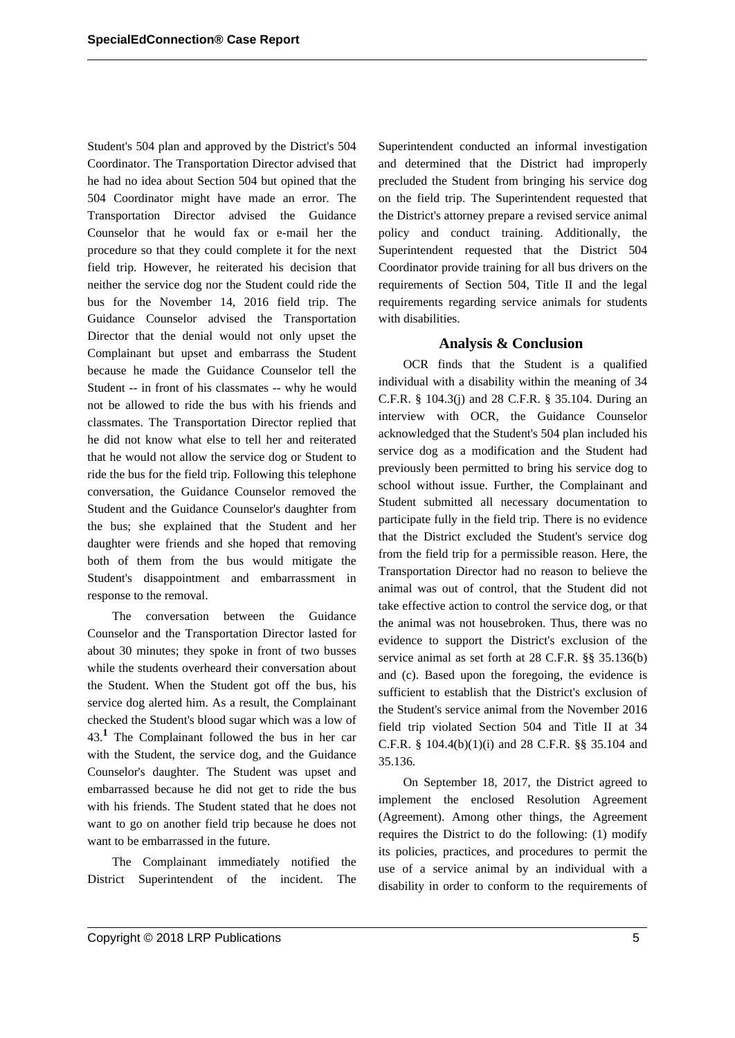Student's 504 plan and approved by the District's 504 Coordinator. The Transportation Director advised that he had no idea about Section 504 but opined that the 504 Coordinator might have made an error. The Transportation Director advised the Guidance Counselor that he would fax or e-mail her the procedure so that they could complete it for the next field trip. However, he reiterated his decision that neither the service dog nor the Student could ride the bus for the November 14, 2016 field trip. The Guidance Counselor advised the Transportation Director that the denial would not only upset the Complainant but upset and embarrass the Student because he made the Guidance Counselor tell the Student -- in front of his classmates -- why he would not be allowed to ride the bus with his friends and classmates. The Transportation Director replied that he did not know what else to tell her and reiterated that he would not allow the service dog or Student to ride the bus for the field trip. Following this telephone conversation, the Guidance Counselor removed the Student and the Guidance Counselor's daughter from the bus; she explained that the Student and her daughter were friends and she hoped that removing both of them from the bus would mitigate the Student's disappointment and embarrassment in response to the removal.

The conversation between the Guidance Counselor and the Transportation Director lasted for about 30 minutes; they spoke in front of two busses while the students overheard their conversation about the Student. When the Student got off the bus, his service dog alerted him. As a result, the Complainant checked the Student's blood sugar which was a low of 43.**<sup>1</sup>** The Complainant followed the bus in her car with the Student, the service dog, and the Guidance Counselor's daughter. The Student was upset and embarrassed because he did not get to ride the bus with his friends. The Student stated that he does not want to go on another field trip because he does not want to be embarrassed in the future.

The Complainant immediately notified the District Superintendent of the incident. The Superintendent conducted an informal investigation and determined that the District had improperly precluded the Student from bringing his service dog on the field trip. The Superintendent requested that the District's attorney prepare a revised service animal policy and conduct training. Additionally, the Superintendent requested that the District 504 Coordinator provide training for all bus drivers on the requirements of Section 504, Title II and the legal requirements regarding service animals for students with disabilities.

## **Analysis & Conclusion**

OCR finds that the Student is a qualified individual with a disability within the meaning of 34 C.F.R. § 104.3(j) and 28 C.F.R. § 35.104. During an interview with OCR, the Guidance Counselor acknowledged that the Student's 504 plan included his service dog as a modification and the Student had previously been permitted to bring his service dog to school without issue. Further, the Complainant and Student submitted all necessary documentation to participate fully in the field trip. There is no evidence that the District excluded the Student's service dog from the field trip for a permissible reason. Here, the Transportation Director had no reason to believe the animal was out of control, that the Student did not take effective action to control the service dog, or that the animal was not housebroken. Thus, there was no evidence to support the District's exclusion of the service animal as set forth at 28 C.F.R. §§ 35.136(b) and (c). Based upon the foregoing, the evidence is sufficient to establish that the District's exclusion of the Student's service animal from the November 2016 field trip violated Section 504 and Title II at 34 C.F.R. § 104.4(b)(1)(i) and 28 C.F.R. §§ 35.104 and 35.136.

On September 18, 2017, the District agreed to implement the enclosed Resolution Agreement (Agreement). Among other things, the Agreement requires the District to do the following: (1) modify its policies, practices, and procedures to permit the use of a service animal by an individual with a disability in order to conform to the requirements of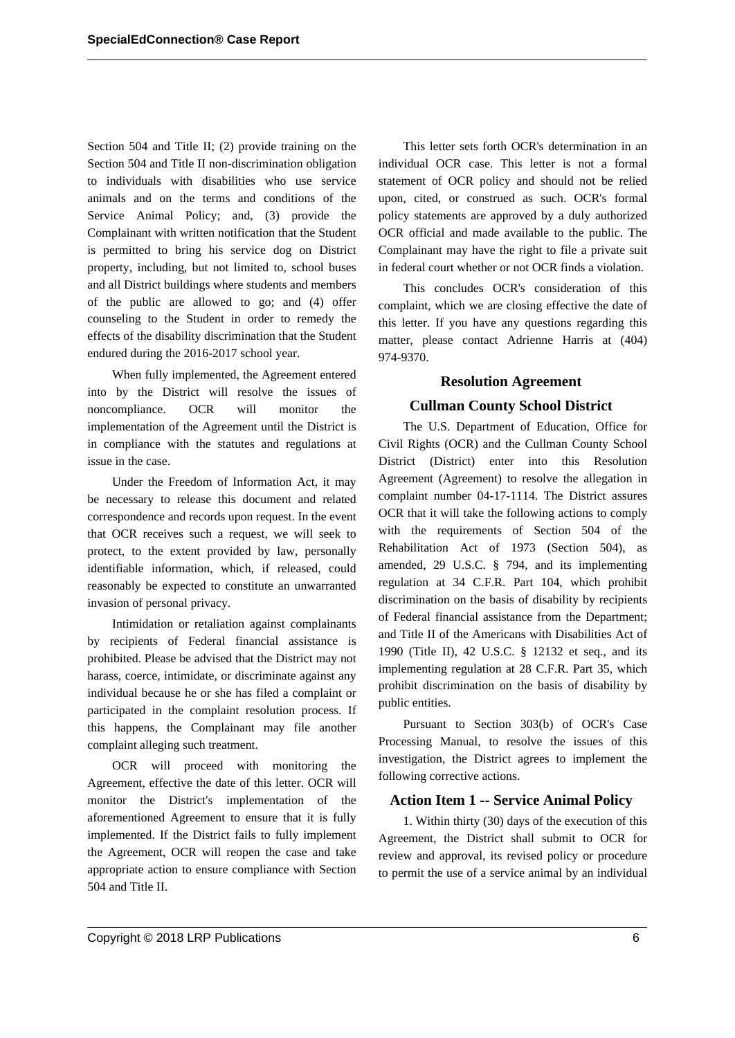Section 504 and Title II; (2) provide training on the Section 504 and Title II non-discrimination obligation to individuals with disabilities who use service animals and on the terms and conditions of the Service Animal Policy; and, (3) provide the Complainant with written notification that the Student is permitted to bring his service dog on District property, including, but not limited to, school buses and all District buildings where students and members of the public are allowed to go; and (4) offer counseling to the Student in order to remedy the effects of the disability discrimination that the Student endured during the 2016-2017 school year.

When fully implemented, the Agreement entered into by the District will resolve the issues of noncompliance. OCR will monitor the implementation of the Agreement until the District is in compliance with the statutes and regulations at issue in the case.

Under the Freedom of Information Act, it may be necessary to release this document and related correspondence and records upon request. In the event that OCR receives such a request, we will seek to protect, to the extent provided by law, personally identifiable information, which, if released, could reasonably be expected to constitute an unwarranted invasion of personal privacy.

Intimidation or retaliation against complainants by recipients of Federal financial assistance is prohibited. Please be advised that the District may not harass, coerce, intimidate, or discriminate against any individual because he or she has filed a complaint or participated in the complaint resolution process. If this happens, the Complainant may file another complaint alleging such treatment.

OCR will proceed with monitoring the Agreement, effective the date of this letter. OCR will monitor the District's implementation of the aforementioned Agreement to ensure that it is fully implemented. If the District fails to fully implement the Agreement, OCR will reopen the case and take appropriate action to ensure compliance with Section 504 and Title II.

This letter sets forth OCR's determination in an individual OCR case. This letter is not a formal statement of OCR policy and should not be relied upon, cited, or construed as such. OCR's formal policy statements are approved by a duly authorized OCR official and made available to the public. The Complainant may have the right to file a private suit in federal court whether or not OCR finds a violation.

This concludes OCR's consideration of this complaint, which we are closing effective the date of this letter. If you have any questions regarding this matter, please contact Adrienne Harris at (404) 974-9370.

## **Resolution Agreement**

## **Cullman County School District**

The U.S. Department of Education, Office for Civil Rights (OCR) and the Cullman County School District (District) enter into this Resolution Agreement (Agreement) to resolve the allegation in complaint number 04-17-1114. The District assures OCR that it will take the following actions to comply with the requirements of Section 504 of the Rehabilitation Act of 1973 (Section 504), as amended, 29 U.S.C. § 794, and its implementing regulation at 34 C.F.R. Part 104, which prohibit discrimination on the basis of disability by recipients of Federal financial assistance from the Department; and Title II of the Americans with Disabilities Act of 1990 (Title II), 42 U.S.C. § 12132 et seq., and its implementing regulation at 28 C.F.R. Part 35, which prohibit discrimination on the basis of disability by public entities.

Pursuant to Section 303(b) of OCR's Case Processing Manual, to resolve the issues of this investigation, the District agrees to implement the following corrective actions.

### **Action Item 1 -- Service Animal Policy**

1. Within thirty (30) days of the execution of this Agreement, the District shall submit to OCR for review and approval, its revised policy or procedure to permit the use of a service animal by an individual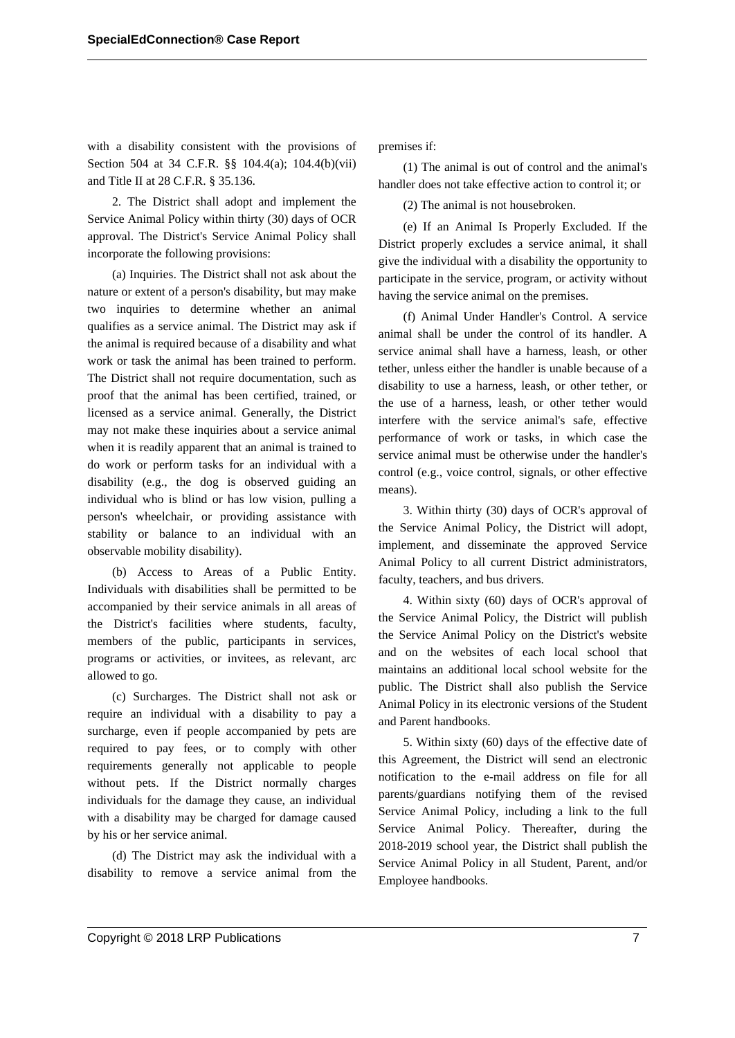with a disability consistent with the provisions of Section 504 at 34 C.F.R. §§ 104.4(a); 104.4(b)(vii) and Title II at 28 C.F.R. § 35.136.

2. The District shall adopt and implement the Service Animal Policy within thirty (30) days of OCR approval. The District's Service Animal Policy shall incorporate the following provisions:

(a) Inquiries. The District shall not ask about the nature or extent of a person's disability, but may make two inquiries to determine whether an animal qualifies as a service animal. The District may ask if the animal is required because of a disability and what work or task the animal has been trained to perform. The District shall not require documentation, such as proof that the animal has been certified, trained, or licensed as a service animal. Generally, the District may not make these inquiries about a service animal when it is readily apparent that an animal is trained to do work or perform tasks for an individual with a disability (e.g., the dog is observed guiding an individual who is blind or has low vision, pulling a person's wheelchair, or providing assistance with stability or balance to an individual with an observable mobility disability).

(b) Access to Areas of a Public Entity. Individuals with disabilities shall be permitted to be accompanied by their service animals in all areas of the District's facilities where students, faculty, members of the public, participants in services, programs or activities, or invitees, as relevant, arc allowed to go.

(c) Surcharges. The District shall not ask or require an individual with a disability to pay a surcharge, even if people accompanied by pets are required to pay fees, or to comply with other requirements generally not applicable to people without pets. If the District normally charges individuals for the damage they cause, an individual with a disability may be charged for damage caused by his or her service animal.

(d) The District may ask the individual with a disability to remove a service animal from the premises if:

(1) The animal is out of control and the animal's handler does not take effective action to control it; or

(2) The animal is not housebroken.

(e) If an Animal Is Properly Excluded. If the District properly excludes a service animal, it shall give the individual with a disability the opportunity to participate in the service, program, or activity without having the service animal on the premises.

(f) Animal Under Handler's Control. A service animal shall be under the control of its handler. A service animal shall have a harness, leash, or other tether, unless either the handler is unable because of a disability to use a harness, leash, or other tether, or the use of a harness, leash, or other tether would interfere with the service animal's safe, effective performance of work or tasks, in which case the service animal must be otherwise under the handler's control (e.g., voice control, signals, or other effective means).

3. Within thirty (30) days of OCR's approval of the Service Animal Policy, the District will adopt, implement, and disseminate the approved Service Animal Policy to all current District administrators, faculty, teachers, and bus drivers.

4. Within sixty (60) days of OCR's approval of the Service Animal Policy, the District will publish the Service Animal Policy on the District's website and on the websites of each local school that maintains an additional local school website for the public. The District shall also publish the Service Animal Policy in its electronic versions of the Student and Parent handbooks.

5. Within sixty (60) days of the effective date of this Agreement, the District will send an electronic notification to the e-mail address on file for all parents/guardians notifying them of the revised Service Animal Policy, including a link to the full Service Animal Policy. Thereafter, during the 2018-2019 school year, the District shall publish the Service Animal Policy in all Student, Parent, and/or Employee handbooks.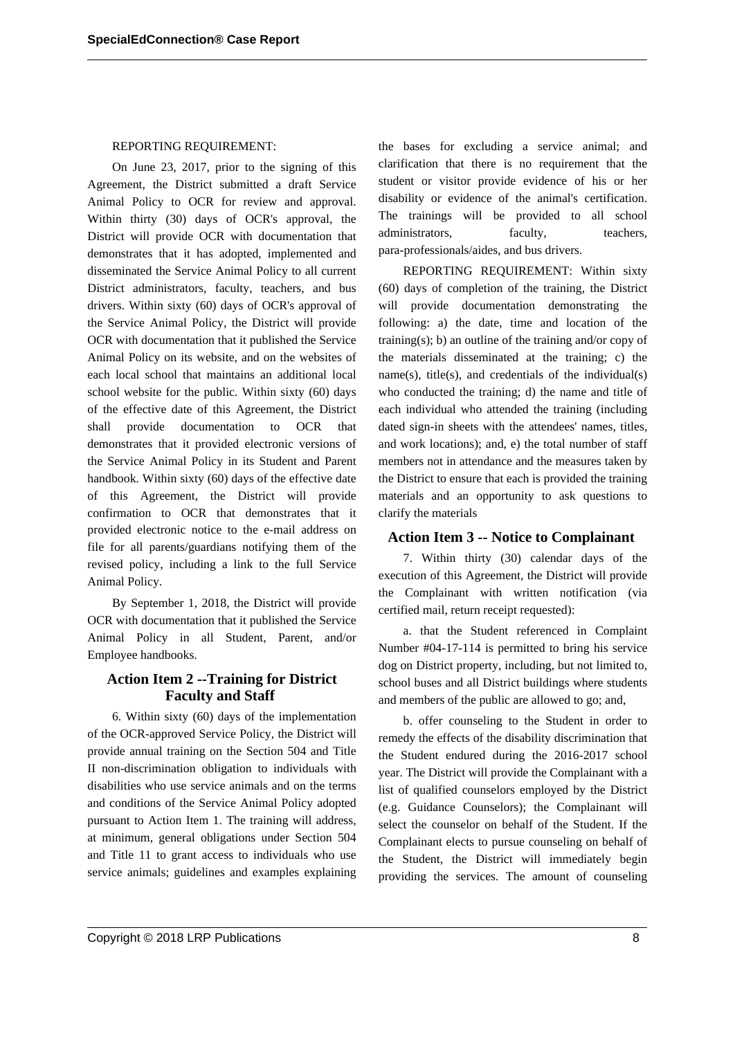#### REPORTING REQUIREMENT:

On June 23, 2017, prior to the signing of this Agreement, the District submitted a draft Service Animal Policy to OCR for review and approval. Within thirty (30) days of OCR's approval, the District will provide OCR with documentation that demonstrates that it has adopted, implemented and disseminated the Service Animal Policy to all current District administrators, faculty, teachers, and bus drivers. Within sixty (60) days of OCR's approval of the Service Animal Policy, the District will provide OCR with documentation that it published the Service Animal Policy on its website, and on the websites of each local school that maintains an additional local school website for the public. Within sixty (60) days of the effective date of this Agreement, the District shall provide documentation to OCR that demonstrates that it provided electronic versions of the Service Animal Policy in its Student and Parent handbook. Within sixty (60) days of the effective date of this Agreement, the District will provide confirmation to OCR that demonstrates that it provided electronic notice to the e-mail address on file for all parents/guardians notifying them of the revised policy, including a link to the full Service Animal Policy.

By September 1, 2018, the District will provide OCR with documentation that it published the Service Animal Policy in all Student, Parent, and/or Employee handbooks.

## **Action Item 2 --Training for District Faculty and Staff**

6. Within sixty (60) days of the implementation of the OCR-approved Service Policy, the District will provide annual training on the Section 504 and Title II non-discrimination obligation to individuals with disabilities who use service animals and on the terms and conditions of the Service Animal Policy adopted pursuant to Action Item 1. The training will address, at minimum, general obligations under Section 504 and Title 11 to grant access to individuals who use service animals; guidelines and examples explaining the bases for excluding a service animal; and clarification that there is no requirement that the student or visitor provide evidence of his or her disability or evidence of the animal's certification. The trainings will be provided to all school administrators, faculty, teachers, para-professionals/aides, and bus drivers.

REPORTING REQUIREMENT: Within sixty (60) days of completion of the training, the District will provide documentation demonstrating the following: a) the date, time and location of the training(s); b) an outline of the training and/or copy of the materials disseminated at the training; c) the  $name(s)$ , title(s), and credentials of the individual(s) who conducted the training; d) the name and title of each individual who attended the training (including dated sign-in sheets with the attendees' names, titles, and work locations); and, e) the total number of staff members not in attendance and the measures taken by the District to ensure that each is provided the training materials and an opportunity to ask questions to clarify the materials

### **Action Item 3 -- Notice to Complainant**

7. Within thirty (30) calendar days of the execution of this Agreement, the District will provide the Complainant with written notification (via certified mail, return receipt requested):

a. that the Student referenced in Complaint Number #04-17-114 is permitted to bring his service dog on District property, including, but not limited to, school buses and all District buildings where students and members of the public are allowed to go; and,

b. offer counseling to the Student in order to remedy the effects of the disability discrimination that the Student endured during the 2016-2017 school year. The District will provide the Complainant with a list of qualified counselors employed by the District (e.g. Guidance Counselors); the Complainant will select the counselor on behalf of the Student. If the Complainant elects to pursue counseling on behalf of the Student, the District will immediately begin providing the services. The amount of counseling